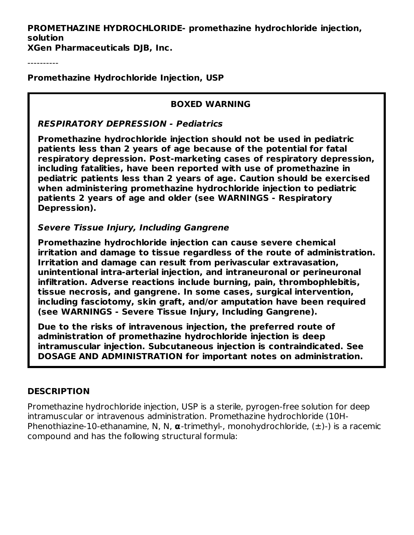**PROMETHAZINE HYDROCHLORIDE- promethazine hydrochloride injection, solution**

**XGen Pharmaceuticals DJB, Inc.**

----------

**Promethazine Hydrochloride Injection, USP**

### **BOXED WARNING**

### **RESPIRATORY DEPRESSION - Pediatrics**

**Promethazine hydrochloride injection should not be used in pediatric patients less than 2 years of age because of the potential for fatal respiratory depression. Post-marketing cases of respiratory depression, including fatalities, have been reported with use of promethazine in pediatric patients less than 2 years of age. Caution should be exercised when administering promethazine hydrochloride injection to pediatric patients 2 years of age and older (see WARNINGS - Respiratory Depression).**

### **Severe Tissue Injury, Including Gangrene**

**Promethazine hydrochloride injection can cause severe chemical irritation and damage to tissue regardless of the route of administration. Irritation and damage can result from perivascular extravasation, unintentional intra-arterial injection, and intraneuronal or perineuronal infiltration. Adverse reactions include burning, pain, thrombophlebitis, tissue necrosis, and gangrene. In some cases, surgical intervention, including fasciotomy, skin graft, and/or amputation have been required (see WARNINGS - Severe Tissue Injury, Including Gangrene).**

**Due to the risks of intravenous injection, the preferred route of administration of promethazine hydrochloride injection is deep intramuscular injection. Subcutaneous injection is contraindicated. See DOSAGE AND ADMINISTRATION for important notes on administration.**

### **DESCRIPTION**

Promethazine hydrochloride injection, USP is a sterile, pyrogen-free solution for deep intramuscular or intravenous administration. Promethazine hydrochloride (10H-Phenothiazine-10-ethanamine, N, N, **α**-trimethyl-, monohydrochloride, (±)-) is a racemic compound and has the following structural formula: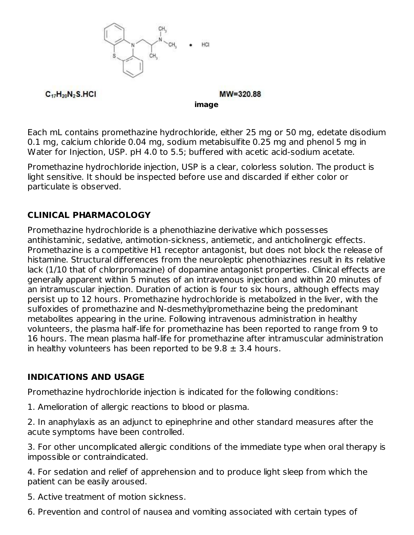

 $C_{17}H_{20}N_2S.HCl$ 

 $MW = 320.88$ 

**image**

Each mL contains promethazine hydrochloride, either 25 mg or 50 mg, edetate disodium 0.1 mg, calcium chloride 0.04 mg, sodium metabisulfite 0.25 mg and phenol 5 mg in Water for Injection, USP. pH 4.0 to 5.5; buffered with acetic acid-sodium acetate.

Promethazine hydrochloride injection, USP is a clear, colorless solution. The product is light sensitive. It should be inspected before use and discarded if either color or particulate is observed.

# **CLINICAL PHARMACOLOGY**

Promethazine hydrochloride is a phenothiazine derivative which possesses antihistaminic, sedative, antimotion-sickness, antiemetic, and anticholinergic effects. Promethazine is a competitive H1 receptor antagonist, but does not block the release of histamine. Structural differences from the neuroleptic phenothiazines result in its relative lack (1/10 that of chlorpromazine) of dopamine antagonist properties. Clinical effects are generally apparent within 5 minutes of an intravenous injection and within 20 minutes of an intramuscular injection. Duration of action is four to six hours, although effects may persist up to 12 hours. Promethazine hydrochloride is metabolized in the liver, with the sulfoxides of promethazine and N-desmethylpromethazine being the predominant metabolites appearing in the urine. Following intravenous administration in healthy volunteers, the plasma half-life for promethazine has been reported to range from 9 to 16 hours. The mean plasma half-life for promethazine after intramuscular administration in healthy volunteers has been reported to be  $9.8 \pm 3.4$  hours.

## **INDICATIONS AND USAGE**

Promethazine hydrochloride injection is indicated for the following conditions:

1. Amelioration of allergic reactions to blood or plasma.

2. In anaphylaxis as an adjunct to epinephrine and other standard measures after the acute symptoms have been controlled.

3. For other uncomplicated allergic conditions of the immediate type when oral therapy is impossible or contraindicated.

4. For sedation and relief of apprehension and to produce light sleep from which the patient can be easily aroused.

5. Active treatment of motion sickness.

6. Prevention and control of nausea and vomiting associated with certain types of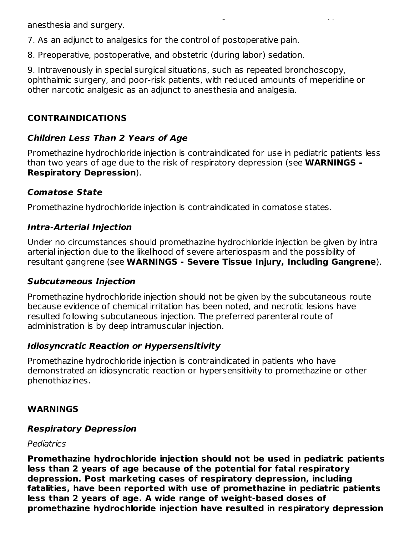anesthesia and surgery.

7. As an adjunct to analgesics for the control of postoperative pain.

8. Preoperative, postoperative, and obstetric (during labor) sedation.

9. Intravenously in special surgical situations, such as repeated bronchoscopy, ophthalmic surgery, and poor-risk patients, with reduced amounts of meperidine or other narcotic analgesic as an adjunct to anesthesia and analgesia.

6. Prevention and control of nausea and vomiting associated with certain types of

# **CONTRAINDICATIONS**

# **Children Less Than 2 Years of Age**

Promethazine hydrochloride injection is contraindicated for use in pediatric patients less than two years of age due to the risk of respiratory depression (see **WARNINGS - Respiratory Depression**).

# **Comatose State**

Promethazine hydrochloride injection is contraindicated in comatose states.

# **Intra-Arterial Injection**

Under no circumstances should promethazine hydrochloride injection be given by intra arterial injection due to the likelihood of severe arteriospasm and the possibility of resultant gangrene (see **WARNINGS - Severe Tissue Injury, Including Gangrene**).

## **Subcutaneous Injection**

Promethazine hydrochloride injection should not be given by the subcutaneous route because evidence of chemical irritation has been noted, and necrotic lesions have resulted following subcutaneous injection. The preferred parenteral route of administration is by deep intramuscular injection.

## **Idiosyncratic Reaction or Hypersensitivity**

Promethazine hydrochloride injection is contraindicated in patients who have demonstrated an idiosyncratic reaction or hypersensitivity to promethazine or other phenothiazines.

# **WARNINGS**

## **Respiratory Depression**

### Pediatrics

**Promethazine hydrochloride injection should not be used in pediatric patients less than 2 years of age because of the potential for fatal respiratory depression. Post marketing cases of respiratory depression, including fatalities, have been reported with use of promethazine in pediatric patients less than 2 years of age. A wide range of weight-based doses of promethazine hydrochloride injection have resulted in respiratory depression**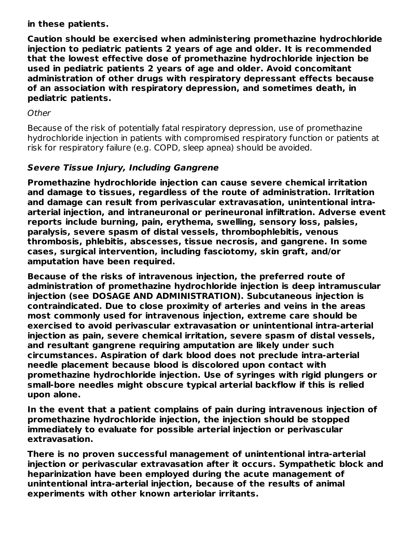**in these patients.**

**Caution should be exercised when administering promethazine hydrochloride injection to pediatric patients 2 years of age and older. It is recommended that the lowest effective dose of promethazine hydrochloride injection be used in pediatric patients 2 years of age and older. Avoid concomitant administration of other drugs with respiratory depressant effects because of an association with respiratory depression, and sometimes death, in pediatric patients.**

### **Other**

Because of the risk of potentially fatal respiratory depression, use of promethazine hydrochloride injection in patients with compromised respiratory function or patients at risk for respiratory failure (e.g. COPD, sleep apnea) should be avoided.

## **Severe Tissue Injury, Including Gangrene**

**Promethazine hydrochloride injection can cause severe chemical irritation and damage to tissues, regardless of the route of administration. Irritation and damage can result from perivascular extravasation, unintentional intraarterial injection, and intraneuronal or perineuronal infiltration. Adverse event reports include burning, pain, erythema, swelling, sensory loss, palsies, paralysis, severe spasm of distal vessels, thrombophlebitis, venous thrombosis, phlebitis, abscesses, tissue necrosis, and gangrene. In some cases, surgical intervention, including fasciotomy, skin graft, and/or amputation have been required.**

**Because of the risks of intravenous injection, the preferred route of administration of promethazine hydrochloride injection is deep intramuscular injection (see DOSAGE AND ADMINISTRATION). Subcutaneous injection is contraindicated. Due to close proximity of arteries and veins in the areas most commonly used for intravenous injection, extreme care should be exercised to avoid perivascular extravasation or unintentional intra-arterial injection as pain, severe chemical irritation, severe spasm of distal vessels, and resultant gangrene requiring amputation are likely under such circumstances. Aspiration of dark blood does not preclude intra-arterial needle placement because blood is discolored upon contact with promethazine hydrochloride injection. Use of syringes with rigid plungers or small-bore needles might obscure typical arterial backflow if this is relied upon alone.**

**In the event that a patient complains of pain during intravenous injection of promethazine hydrochloride injection, the injection should be stopped immediately to evaluate for possible arterial injection or perivascular extravasation.**

**There is no proven successful management of unintentional intra-arterial injection or perivascular extravasation after it occurs. Sympathetic block and heparinization have been employed during the acute management of unintentional intra-arterial injection, because of the results of animal experiments with other known arteriolar irritants.**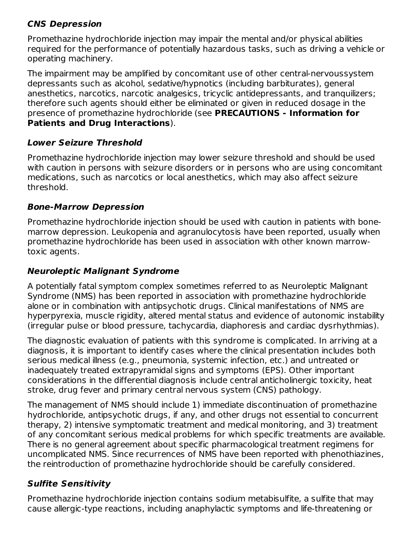## **CNS Depression**

Promethazine hydrochloride injection may impair the mental and/or physical abilities required for the performance of potentially hazardous tasks, such as driving a vehicle or operating machinery.

The impairment may be amplified by concomitant use of other central-nervoussystem depressants such as alcohol, sedative/hypnotics (including barbiturates), general anesthetics, narcotics, narcotic analgesics, tricyclic antidepressants, and tranquilizers; therefore such agents should either be eliminated or given in reduced dosage in the presence of promethazine hydrochloride (see **PRECAUTIONS - Information for Patients and Drug Interactions**).

# **Lower Seizure Threshold**

Promethazine hydrochloride injection may lower seizure threshold and should be used with caution in persons with seizure disorders or in persons who are using concomitant medications, such as narcotics or local anesthetics, which may also affect seizure threshold.

# **Bone-Marrow Depression**

Promethazine hydrochloride injection should be used with caution in patients with bonemarrow depression. Leukopenia and agranulocytosis have been reported, usually when promethazine hydrochloride has been used in association with other known marrowtoxic agents.

# **Neuroleptic Malignant Syndrome**

A potentially fatal symptom complex sometimes referred to as Neuroleptic Malignant Syndrome (NMS) has been reported in association with promethazine hydrochloride alone or in combination with antipsychotic drugs. Clinical manifestations of NMS are hyperpyrexia, muscle rigidity, altered mental status and evidence of autonomic instability (irregular pulse or blood pressure, tachycardia, diaphoresis and cardiac dysrhythmias).

The diagnostic evaluation of patients with this syndrome is complicated. In arriving at a diagnosis, it is important to identify cases where the clinical presentation includes both serious medical illness (e.g., pneumonia, systemic infection, etc.) and untreated or inadequately treated extrapyramidal signs and symptoms (EPS). Other important considerations in the differential diagnosis include central anticholinergic toxicity, heat stroke, drug fever and primary central nervous system (CNS) pathology.

The management of NMS should include 1) immediate discontinuation of promethazine hydrochloride, antipsychotic drugs, if any, and other drugs not essential to concurrent therapy, 2) intensive symptomatic treatment and medical monitoring, and 3) treatment of any concomitant serious medical problems for which specific treatments are available. There is no general agreement about specific pharmacological treatment regimens for uncomplicated NMS. Since recurrences of NMS have been reported with phenothiazines, the reintroduction of promethazine hydrochloride should be carefully considered.

# **Sulfite Sensitivity**

Promethazine hydrochloride injection contains sodium metabisulfite, a sulfite that may cause allergic-type reactions, including anaphylactic symptoms and life-threatening or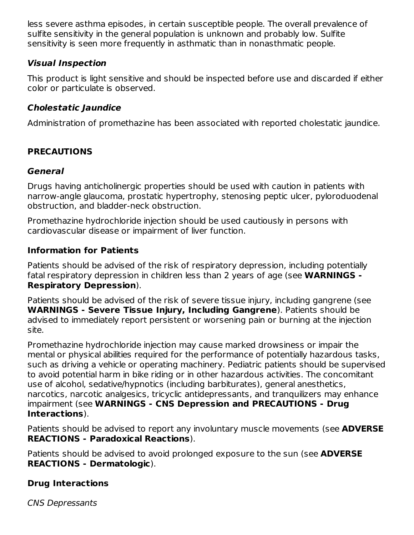less severe asthma episodes, in certain susceptible people. The overall prevalence of sulfite sensitivity in the general population is unknown and probably low. Sulfite sensitivity is seen more frequently in asthmatic than in nonasthmatic people.

## **Visual Inspection**

This product is light sensitive and should be inspected before use and discarded if either color or particulate is observed.

## **Cholestatic Jaundice**

Administration of promethazine has been associated with reported cholestatic jaundice.

# **PRECAUTIONS**

### **General**

Drugs having anticholinergic properties should be used with caution in patients with narrow-angle glaucoma, prostatic hypertrophy, stenosing peptic ulcer, pyloroduodenal obstruction, and bladder-neck obstruction.

Promethazine hydrochloride injection should be used cautiously in persons with cardiovascular disease or impairment of liver function.

### **Information for Patients**

Patients should be advised of the risk of respiratory depression, including potentially fatal respiratory depression in children less than 2 years of age (see **WARNINGS - Respiratory Depression**).

Patients should be advised of the risk of severe tissue injury, including gangrene (see **WARNINGS - Severe Tissue Injury, Including Gangrene**). Patients should be advised to immediately report persistent or worsening pain or burning at the injection site.

Promethazine hydrochloride injection may cause marked drowsiness or impair the mental or physical abilities required for the performance of potentially hazardous tasks, such as driving a vehicle or operating machinery. Pediatric patients should be supervised to avoid potential harm in bike riding or in other hazardous activities. The concomitant use of alcohol, sedative/hypnotics (including barbiturates), general anesthetics, narcotics, narcotic analgesics, tricyclic antidepressants, and tranquilizers may enhance impairment (see **WARNINGS - CNS Depression and PRECAUTIONS - Drug Interactions**).

Patients should be advised to report any involuntary muscle movements (see **ADVERSE REACTIONS - Paradoxical Reactions**).

Patients should be advised to avoid prolonged exposure to the sun (see **ADVERSE REACTIONS - Dermatologic**).

## **Drug Interactions**

CNS Depressants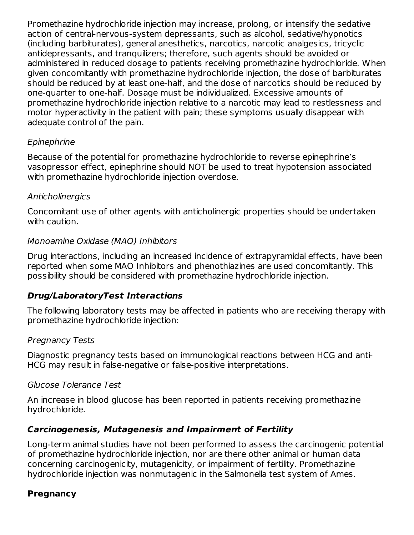Promethazine hydrochloride injection may increase, prolong, or intensify the sedative action of central-nervous-system depressants, such as alcohol, sedative/hypnotics (including barbiturates), general anesthetics, narcotics, narcotic analgesics, tricyclic antidepressants, and tranquilizers; therefore, such agents should be avoided or administered in reduced dosage to patients receiving promethazine hydrochloride. When given concomitantly with promethazine hydrochloride injection, the dose of barbiturates should be reduced by at least one-half, and the dose of narcotics should be reduced by one-quarter to one-half. Dosage must be individualized. Excessive amounts of promethazine hydrochloride injection relative to a narcotic may lead to restlessness and motor hyperactivity in the patient with pain; these symptoms usually disappear with adequate control of the pain.

### **Epinephrine**

Because of the potential for promethazine hydrochloride to reverse epinephrine's vasopressor effect, epinephrine should NOT be used to treat hypotension associated with promethazine hydrochloride injection overdose.

### **Anticholinergics**

Concomitant use of other agents with anticholinergic properties should be undertaken with caution.

### Monoamine Oxidase (MAO) Inhibitors

Drug interactions, including an increased incidence of extrapyramidal effects, have been reported when some MAO Inhibitors and phenothiazines are used concomitantly. This possibility should be considered with promethazine hydrochloride injection.

### **Drug/LaboratoryTest Interactions**

The following laboratory tests may be affected in patients who are receiving therapy with promethazine hydrochloride injection:

### Pregnancy Tests

Diagnostic pregnancy tests based on immunological reactions between HCG and anti-HCG may result in false-negative or false-positive interpretations.

### Glucose Tolerance Test

An increase in blood glucose has been reported in patients receiving promethazine hydrochloride.

### **Carcinogenesis, Mutagenesis and Impairment of Fertility**

Long-term animal studies have not been performed to assess the carcinogenic potential of promethazine hydrochloride injection, nor are there other animal or human data concerning carcinogenicity, mutagenicity, or impairment of fertility. Promethazine hydrochloride injection was nonmutagenic in the Salmonella test system of Ames.

### **Pregnancy**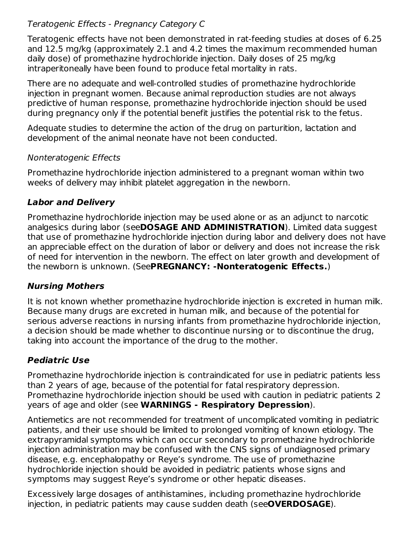## Teratogenic Effects - Pregnancy Category C

Teratogenic effects have not been demonstrated in rat-feeding studies at doses of 6.25 and 12.5 mg/kg (approximately 2.1 and 4.2 times the maximum recommended human daily dose) of promethazine hydrochloride injection. Daily doses of 25 mg/kg intraperitoneally have been found to produce fetal mortality in rats.

There are no adequate and well-controlled studies of promethazine hydrochloride injection in pregnant women. Because animal reproduction studies are not always predictive of human response, promethazine hydrochloride injection should be used during pregnancy only if the potential benefit justifies the potential risk to the fetus.

Adequate studies to determine the action of the drug on parturition, lactation and development of the animal neonate have not been conducted.

### Nonteratogenic Effects

Promethazine hydrochloride injection administered to a pregnant woman within two weeks of delivery may inhibit platelet aggregation in the newborn.

## **Labor and Delivery**

Promethazine hydrochloride injection may be used alone or as an adjunct to narcotic analgesics during labor (see**DOSAGE AND ADMINISTRATION**). Limited data suggest that use of promethazine hydrochloride injection during labor and delivery does not have an appreciable effect on the duration of labor or delivery and does not increase the risk of need for intervention in the newborn. The effect on later growth and development of the newborn is unknown. (See**PREGNANCY: -Nonteratogenic Effects.**)

## **Nursing Mothers**

It is not known whether promethazine hydrochloride injection is excreted in human milk. Because many drugs are excreted in human milk, and because of the potential for serious adverse reactions in nursing infants from promethazine hydrochloride injection, a decision should be made whether to discontinue nursing or to discontinue the drug, taking into account the importance of the drug to the mother.

# **Pediatric Use**

Promethazine hydrochloride injection is contraindicated for use in pediatric patients less than 2 years of age, because of the potential for fatal respiratory depression. Promethazine hydrochloride injection should be used with caution in pediatric patients 2 years of age and older (see **WARNINGS - Respiratory Depression**).

Antiemetics are not recommended for treatment of uncomplicated vomiting in pediatric patients, and their use should be limited to prolonged vomiting of known etiology. The extrapyramidal symptoms which can occur secondary to promethazine hydrochloride injection administration may be confused with the CNS signs of undiagnosed primary disease, e.g. encephalopathy or Reye's syndrome. The use of promethazine hydrochloride injection should be avoided in pediatric patients whose signs and symptoms may suggest Reye's syndrome or other hepatic diseases.

Excessively large dosages of antihistamines, including promethazine hydrochloride injection, in pediatric patients may cause sudden death (see**OVERDOSAGE**).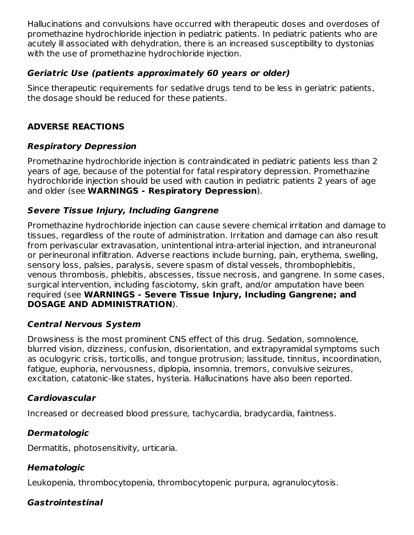Hallucinations and convulsions have occurred with therapeutic doses and overdoses of promethazine hydrochloride injection in pediatric patients. In pediatric patients who are acutely ill associated with dehydration, there is an increased susceptibility to dystonias with the use of promethazine hydrochloride injection.

## **Geriatric Use (patients approximately 60 years or older)**

Since therapeutic requirements for sedative drugs tend to be less in geriatric patients, the dosage should be reduced for these patients.

# **ADVERSE REACTIONS**

## **Respiratory Depression**

Promethazine hydrochloride injection is contraindicated in pediatric patients less than 2 years of age, because of the potential for fatal respiratory depression. Promethazine hydrochloride injection should be used with caution in pediatric patients 2 years of age and older (see **WARNINGS - Respiratory Depression**).

## **Severe Tissue Injury, Including Gangrene**

Promethazine hydrochloride injection can cause severe chemical irritation and damage to tissues, regardless of the route of administration. Irritation and damage can also result from perivascular extravasation, unintentional intra-arterial injection, and intraneuronal or perineuronal infiltration. Adverse reactions include burning, pain, erythema, swelling, sensory loss, palsies, paralysis, severe spasm of distal vessels, thrombophlebitis, venous thrombosis, phlebitis, abscesses, tissue necrosis, and gangrene. In some cases, surgical intervention, including fasciotomy, skin graft, and/or amputation have been required (see **WARNINGS - Severe Tissue Injury, Including Gangrene; and DOSAGE AND ADMINISTRATION**).

### **Central Nervous System**

Drowsiness is the most prominent CNS effect of this drug. Sedation, somnolence, blurred vision, dizziness, confusion, disorientation, and extrapyramidal symptoms such as oculogyric crisis, torticollis, and tongue protrusion; lassitude, tinnitus, incoordination, fatigue, euphoria, nervousness, diplopia, insomnia, tremors, convulsive seizures, excitation, catatonic-like states, hysteria. Hallucinations have also been reported.

## **Cardiovascular**

Increased or decreased blood pressure, tachycardia, bradycardia, faintness.

## **Dermatologic**

Dermatitis, photosensitivity, urticaria.

# **Hematologic**

Leukopenia, thrombocytopenia, thrombocytopenic purpura, agranulocytosis.

## **Gastrointestinal**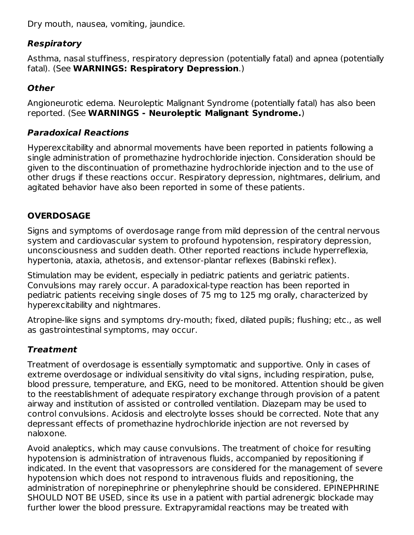Dry mouth, nausea, vomiting, jaundice.

# **Respiratory**

Asthma, nasal stuffiness, respiratory depression (potentially fatal) and apnea (potentially fatal). (See **WARNINGS: Respiratory Depression**.)

# **Other**

Angioneurotic edema. Neuroleptic Malignant Syndrome (potentially fatal) has also been reported. (See **WARNINGS - Neuroleptic Malignant Syndrome.**)

# **Paradoxical Reactions**

Hyperexcitability and abnormal movements have been reported in patients following a single administration of promethazine hydrochloride injection. Consideration should be given to the discontinuation of promethazine hydrochloride injection and to the use of other drugs if these reactions occur. Respiratory depression, nightmares, delirium, and agitated behavior have also been reported in some of these patients.

# **OVERDOSAGE**

Signs and symptoms of overdosage range from mild depression of the central nervous system and cardiovascular system to profound hypotension, respiratory depression, unconsciousness and sudden death. Other reported reactions include hyperreflexia, hypertonia, ataxia, athetosis, and extensor-plantar reflexes (Babinski reflex).

Stimulation may be evident, especially in pediatric patients and geriatric patients. Convulsions may rarely occur. A paradoxical-type reaction has been reported in pediatric patients receiving single doses of 75 mg to 125 mg orally, characterized by hyperexcitability and nightmares.

Atropine-like signs and symptoms dry-mouth; fixed, dilated pupils; flushing; etc., as well as gastrointestinal symptoms, may occur.

# **Treatment**

Treatment of overdosage is essentially symptomatic and supportive. Only in cases of extreme overdosage or individual sensitivity do vital signs, including respiration, pulse, blood pressure, temperature, and EKG, need to be monitored. Attention should be given to the reestablishment of adequate respiratory exchange through provision of a patent airway and institution of assisted or controlled ventilation. Diazepam may be used to control convulsions. Acidosis and electrolyte losses should be corrected. Note that any depressant effects of promethazine hydrochloride injection are not reversed by naloxone.

Avoid analeptics, which may cause convulsions. The treatment of choice for resulting hypotension is administration of intravenous fluids, accompanied by repositioning if indicated. In the event that vasopressors are considered for the management of severe hypotension which does not respond to intravenous fluids and repositioning, the administration of norepinephrine or phenylephrine should be considered. EPINEPHRINE SHOULD NOT BE USED, since its use in a patient with partial adrenergic blockade may further lower the blood pressure. Extrapyramidal reactions may be treated with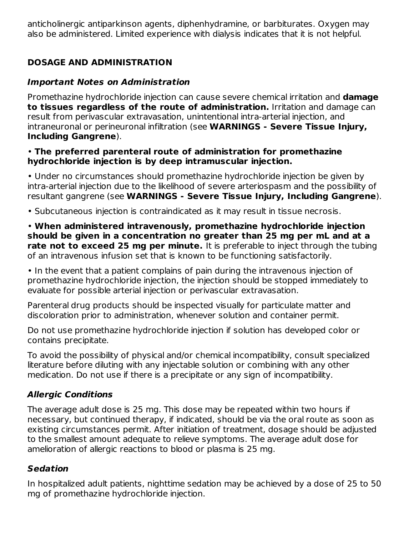anticholinergic antiparkinson agents, diphenhydramine, or barbiturates. Oxygen may also be administered. Limited experience with dialysis indicates that it is not helpful.

# **DOSAGE AND ADMINISTRATION**

### **Important Notes on Administration**

Promethazine hydrochloride injection can cause severe chemical irritation and **damage to tissues regardless of the route of administration.** Irritation and damage can result from perivascular extravasation, unintentional intra-arterial injection, and intraneuronal or perineuronal infiltration (see **WARNINGS - Severe Tissue Injury, Including Gangrene**).

#### • **The preferred parenteral route of administration for promethazine hydrochloride injection is by deep intramuscular injection.**

• Under no circumstances should promethazine hydrochloride injection be given by intra-arterial injection due to the likelihood of severe arteriospasm and the possibility of resultant gangrene (see **WARNINGS - Severe Tissue Injury, Including Gangrene**).

• Subcutaneous injection is contraindicated as it may result in tissue necrosis.

• **When administered intravenously, promethazine hydrochloride injection should be given in a concentration no greater than 25 mg per mL and at a rate not to exceed 25 mg per minute.** It is preferable to inject through the tubing of an intravenous infusion set that is known to be functioning satisfactorily.

• In the event that a patient complains of pain during the intravenous injection of promethazine hydrochloride injection, the injection should be stopped immediately to evaluate for possible arterial injection or perivascular extravasation.

Parenteral drug products should be inspected visually for particulate matter and discoloration prior to administration, whenever solution and container permit.

Do not use promethazine hydrochloride injection if solution has developed color or contains precipitate.

To avoid the possibility of physical and/or chemical incompatibility, consult specialized literature before diluting with any injectable solution or combining with any other medication. Do not use if there is a precipitate or any sign of incompatibility.

## **Allergic Conditions**

The average adult dose is 25 mg. This dose may be repeated within two hours if necessary, but continued therapy, if indicated, should be via the oral route as soon as existing circumstances permit. After initiation of treatment, dosage should be adjusted to the smallest amount adequate to relieve symptoms. The average adult dose for amelioration of allergic reactions to blood or plasma is 25 mg.

## **Sedation**

In hospitalized adult patients, nighttime sedation may be achieved by a dose of 25 to 50 mg of promethazine hydrochloride injection.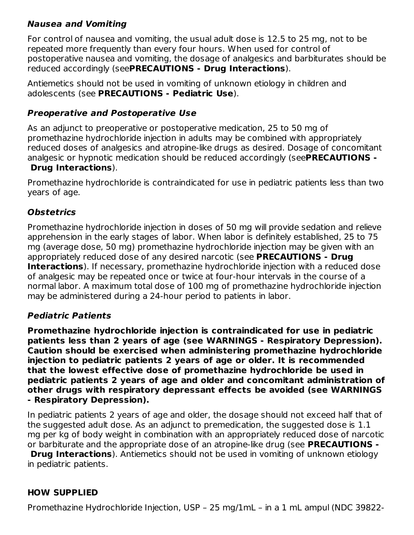## **Nausea and Vomiting**

For control of nausea and vomiting, the usual adult dose is 12.5 to 25 mg, not to be repeated more frequently than every four hours. When used for control of postoperative nausea and vomiting, the dosage of analgesics and barbiturates should be reduced accordingly (see**PRECAUTIONS - Drug Interactions**).

Antiemetics should not be used in vomiting of unknown etiology in children and adolescents (see **PRECAUTIONS - Pediatric Use**).

#### **Preoperative and Postoperative Use**

As an adjunct to preoperative or postoperative medication, 25 to 50 mg of promethazine hydrochloride injection in adults may be combined with appropriately reduced doses of analgesics and atropine-like drugs as desired. Dosage of concomitant analgesic or hypnotic medication should be reduced accordingly (see**PRECAUTIONS - Drug Interactions**).

Promethazine hydrochloride is contraindicated for use in pediatric patients less than two years of age.

### **Obstetrics**

Promethazine hydrochloride injection in doses of 50 mg will provide sedation and relieve apprehension in the early stages of labor. When labor is definitely established, 25 to 75 mg (average dose, 50 mg) promethazine hydrochloride injection may be given with an appropriately reduced dose of any desired narcotic (see **PRECAUTIONS - Drug Interactions**). If necessary, promethazine hydrochloride injection with a reduced dose of analgesic may be repeated once or twice at four-hour intervals in the course of a normal labor. A maximum total dose of 100 mg of promethazine hydrochloride injection may be administered during a 24-hour period to patients in labor.

### **Pediatric Patients**

**Promethazine hydrochloride injection is contraindicated for use in pediatric patients less than 2 years of age (see WARNINGS - Respiratory Depression). Caution should be exercised when administering promethazine hydrochloride injection to pediatric patients 2 years of age or older. It is recommended that the lowest effective dose of promethazine hydrochloride be used in pediatric patients 2 years of age and older and concomitant administration of other drugs with respiratory depressant effects be avoided (see WARNINGS - Respiratory Depression).**

In pediatric patients 2 years of age and older, the dosage should not exceed half that of the suggested adult dose. As an adjunct to premedication, the suggested dose is 1.1 mg per kg of body weight in combination with an appropriately reduced dose of narcotic or barbiturate and the appropriate dose of an atropine-like drug (see **PRECAUTIONS -**

**Drug Interactions**). Antiemetics should not be used in vomiting of unknown etiology in pediatric patients.

### **HOW SUPPLIED**

Promethazine Hydrochloride Injection, USP – 25 mg/1mL – in a 1 mL ampul (NDC 39822-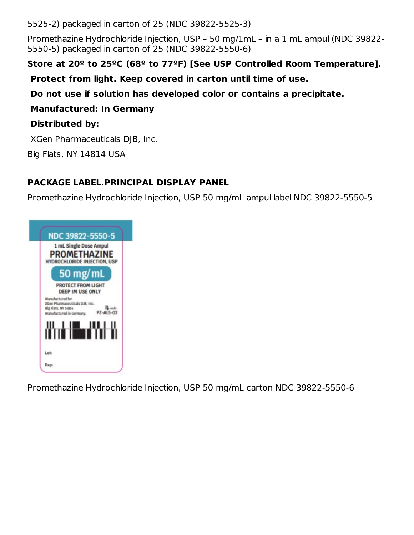5525-2) packaged in carton of 25 (NDC 39822-5525-3)

Promethazine Hydrochloride Injection, USP – 50 mg/1mL – in a 1 mL ampul (NDC 39822- 5550-5) packaged in carton of 25 (NDC 39822-5550-6)

# **Store at 20º to 25ºC (68º to 77ºF) [See USP Controlled Room Temperature].**

**Protect from light. Keep covered in carton until time of use.**

**Do not use if solution has developed color or contains a precipitate.**

**Manufactured: In Germany**

## **Distributed by:**

XGen Pharmaceuticals DJB, Inc.

Big Flats, NY 14814 USA

# **PACKAGE LABEL.PRINCIPAL DISPLAY PANEL**

Promethazine Hydrochloride Injection, USP 50 mg/mL ampul label NDC 39822-5550-5



Promethazine Hydrochloride Injection, USP 50 mg/mL carton NDC 39822-5550-6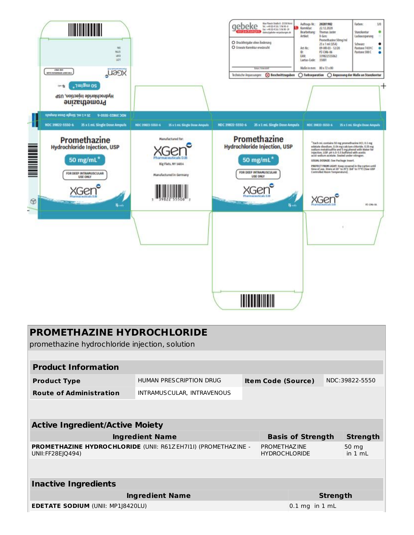| <b>CNO BLE</b><br>WITH DESIGNATION 4500 MILE<br>NDC 39822-5550-6 | $\overline{\text{MS}}$<br>N15<br>idda<br>apt.<br><b>LIJOX</b><br>,7w/8w 05<br>Hydrochloride Injection, USP<br>Promethazine<br>25 x 1 mL Single Dose Ampuls<br>MDC 38833-2220-9<br>25 x 1 mL Single Dose Ampuls | NDC 39832-5550-6<br>25 x 1 mi. Single Dose Ampuls                                          | Max-Planck-Straile & - 25158 Horst<br>aebeke<br>BC+4910-4126/19690-6<br>$\ln r + 6$ (0-026/1% W-2)<br><b>EXTERNATIONAL Admissions expansions of</b><br>O Druckfreigabe ohne Anderung<br>O Emegte Kamektur erwürscht<br><b>Estate Vitale</b><br>CO Beschnittzugaben<br>Technische Angassungen:<br>25 x 1 mL Single Dose Ampuls<br>NDC 39822-5550-6 | Auftrags-Nr.: 20201982<br>Farben:<br>3/0<br>22.12.2020<br>Karrektar<br>Bearbeitung:<br>Thomas Jaster<br>Stanzkontur<br>۰<br>Artikelt<br>I-Gen:<br>Lackaussparung<br>Promethazine 50mg/ml<br>25 x 1 ml (USA)<br>Schwarz<br>Art-Nr.<br>09-HR-03 - 12/20<br>Pantone 7459 C<br>P2-CM6-06<br>Pantone 300 C<br>0<br><b>EAM</b><br>339822555062<br>Laetus-Code:<br>35001<br>Maßeinmm: 80x72x80<br>◯ Farbseparation ◯ Anpassung der Maße an Stanzkontur<br>NDC 39832-5550-6<br>25 x 1 mL Single Dose Anguls |
|------------------------------------------------------------------|----------------------------------------------------------------------------------------------------------------------------------------------------------------------------------------------------------------|--------------------------------------------------------------------------------------------|---------------------------------------------------------------------------------------------------------------------------------------------------------------------------------------------------------------------------------------------------------------------------------------------------------------------------------------------------|-----------------------------------------------------------------------------------------------------------------------------------------------------------------------------------------------------------------------------------------------------------------------------------------------------------------------------------------------------------------------------------------------------------------------------------------------------------------------------------------------------|
| Gõ                                                               | <b>Promethazine</b><br>Hydrochloride Injection, USP<br>50 mg/mL <sup>*</sup><br>FOR DEEP INTRAMUSCULAR<br>USE ONLY<br>$\mathbf{B}_{\text{max}}$                                                                | Manufactured for:<br>Pharmaceuticals DJB<br>Big Flats, NY 14814<br>Manufactured in Germany | <b>Promethazine</b><br><b>Hydrochloride Injection, USP</b><br>50 mg/mL*<br>FOR DEEP INTRAMUSCULAR<br>USE ONLY<br>$15 - 11$                                                                                                                                                                                                                        | "Each ml. contains 50 mg promethazine HCI, 0.1 mg<br>edatate disadium, 0.04 mg calcium chlanide, 0.35 mg<br>sedium metabisudite and 5 mg phenol with Water for<br>trijection, USP. pH 4.0-5.5 buffered with acatic<br>acid-sodum acetate. Sealed under nitrogen.<br>USUAL DOSAGE: See Package Imert.<br>PROTECT FROM LIGHT: Keep covered in the cartan until<br>time of use. Store at 20" to 25"C (68" to 77"F) See USP<br>Controlled Room Temperature).<br>FZ-CR6-OL                               |
|                                                                  |                                                                                                                                                                                                                |                                                                                            | <b>THEFT IN</b>                                                                                                                                                                                                                                                                                                                                   |                                                                                                                                                                                                                                                                                                                                                                                                                                                                                                     |

| <b>PROMETHAZINE HYDROCHLORIDE</b><br>promethazine hydrochloride injection, solution |                                                               |  |                                       |                          |                 |                  |  |  |
|-------------------------------------------------------------------------------------|---------------------------------------------------------------|--|---------------------------------------|--------------------------|-----------------|------------------|--|--|
|                                                                                     |                                                               |  |                                       |                          |                 |                  |  |  |
| <b>Product Information</b>                                                          |                                                               |  |                                       |                          |                 |                  |  |  |
| <b>Product Type</b>                                                                 | HUMAN PRESCRIPTION DRUG                                       |  | <b>Item Code (Source)</b>             |                          |                 | NDC:39822-5550   |  |  |
| <b>Route of Administration</b>                                                      | INTRAMUSCULAR, INTRAVENOUS                                    |  |                                       |                          |                 |                  |  |  |
|                                                                                     |                                                               |  |                                       |                          |                 |                  |  |  |
| <b>Active Ingredient/Active Moiety</b>                                              |                                                               |  |                                       |                          |                 |                  |  |  |
|                                                                                     | <b>Ingredient Name</b>                                        |  |                                       | <b>Basis of Strength</b> |                 | <b>Strength</b>  |  |  |
| UNII: FF28E (Q494)                                                                  | PROMETHAZINE HYDROCHLORIDE (UNII: R61ZEH7I1I) (PROMETHAZINE - |  | PROMETHAZ INF<br><b>HYDROCHLORIDE</b> |                          |                 | 50 mg<br>in 1 ml |  |  |
|                                                                                     |                                                               |  |                                       |                          |                 |                  |  |  |
| <b>Inactive Ingredients</b>                                                         |                                                               |  |                                       |                          |                 |                  |  |  |
| <b>Ingredient Name</b>                                                              |                                                               |  |                                       |                          | <b>Strength</b> |                  |  |  |
| <b>EDETATE SODIUM (UNII: MP1J8420LU)</b>                                            |                                                               |  |                                       | $0.1$ mg in $1$ mL       |                 |                  |  |  |